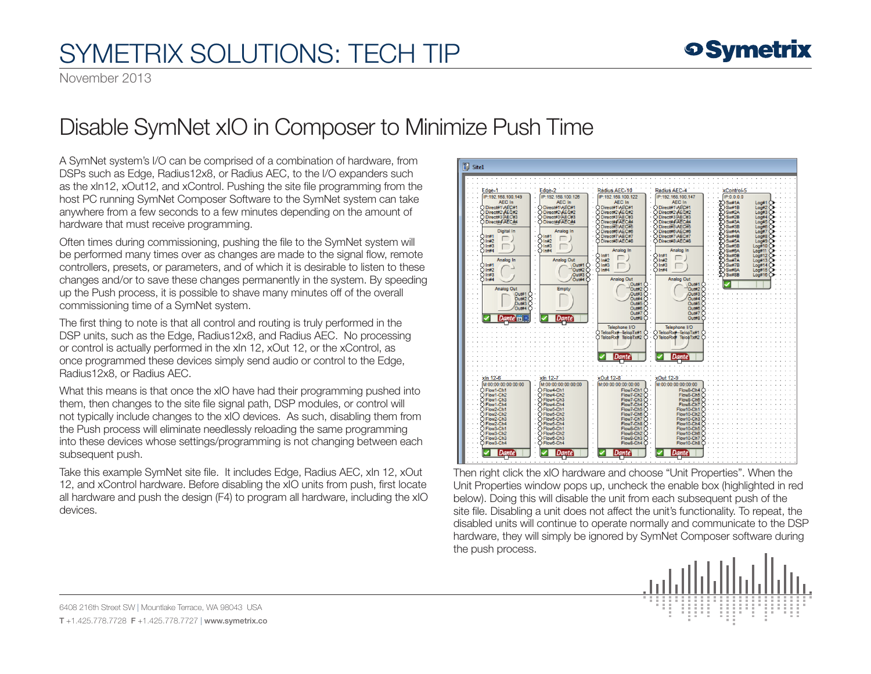## SYMETRIX SOLUTIONS: TECH TIP

November 2013

## Disable SymNet xIO in Composer to Minimize Push Time

A SymNet system's I/O can be comprised of a combination of hardware, from DSPs such as Edge, Radius12x8, or Radius AEC, to the I/O expanders such as the xIn12, xOut12, and xControl. Pushing the site file programming from the host PC running SymNet Composer Software to the SymNet system can take anywhere from a few seconds to a few minutes depending on the amount of hardware that must receive programming.

Often times during commissioning, pushing the file to the SymNet system will be performed many times over as changes are made to the signal flow, remote controllers, presets, or parameters, and of which it is desirable to listen to these changes and/or to save these changes permanently in the system. By speeding up the Push process, it is possible to shave many minutes off of the overall commissioning time of a SymNet system.

The first thing to note is that all control and routing is truly performed in the DSP units, such as the Edge, Radius12x8, and Radius AEC. No processing or control is actually performed in the xIn 12, xOut 12, or the xControl, as once programmed these devices simply send audio or control to the Edge, Radius12x8, or Radius AEC.

What this means is that once the xIO have had their programming pushed into them, then changes to the site file signal path, DSP modules, or control will not typically include changes to the xIO devices. As such, disabling them from the Push process will eliminate needlessly reloading the same programming into these devices whose settings/programming is not changing between each subsequent push.

Take this example SymNet site file. It includes Edge, Radius AEC, xIn 12, xOut 12, and xControl hardware. Before disabling the xIO units from push, first locate all hardware and push the design (F4) to program all hardware, including the xIO devices.



Then right click the xIO hardware and choose "Unit Properties". When the Unit Properties window pops up, uncheck the enable box (highlighted in red below). Doing this will disable the unit from each subsequent push of the site file. Disabling a unit does not affect the unit's functionality. To repeat, the disabled units will continue to operate normally and communicate to the DSP hardware, they will simply be ignored by SymNet Composer software during the push process.



6408 216th Street SW | Mountlake Terrace, WA 98043 USA T +1.425.778.7728 F +1.425.778.7727 | www.symetrix.co